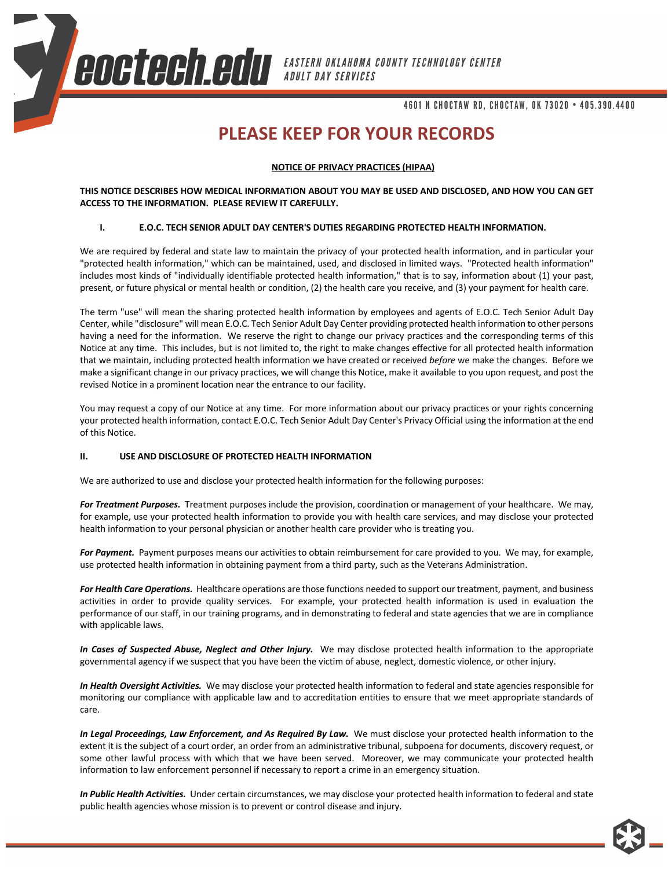**COCTOCH COL** EASTERN OKLAHOMA COUNTY TECHNOLOGY CENTER

4601 N CHOCTAW RD, CHOCTAW, OK 73020 . 405.390.4400

# **PLEASE KEEP FOR YOUR RECORDS**

## **NOTICE OF PRIVACY PRACTICES (HIPAA)**

**THIS NOTICE DESCRIBES HOW MEDICAL INFORMATION ABOUT YOU MAY BE USED AND DISCLOSED, AND HOW YOU CAN GET ACCESS TO THE INFORMATION. PLEASE REVIEW IT CAREFULLY.**

## **I. E.O.C. TECH SENIOR ADULT DAY CENTER'S DUTIES REGARDING PROTECTED HEALTH INFORMATION.**

We are required by federal and state law to maintain the privacy of your protected health information, and in particular your "protected health information," which can be maintained, used, and disclosed in limited ways. "Protected health information" includes most kinds of "individually identifiable protected health information," that is to say, information about (1) your past, present, or future physical or mental health or condition, (2) the health care you receive, and (3) your payment for health care.

The term "use" will mean the sharing protected health information by employees and agents of E.O.C. Tech Senior Adult Day Center, while "disclosure" will mean E.O.C. Tech Senior Adult Day Center providing protected health information to other persons having a need for the information. We reserve the right to change our privacy practices and the corresponding terms of this Notice at any time. This includes, but is not limited to, the right to make changes effective for all protected health information that we maintain, including protected health information we have created or received *before* we make the changes. Before we make a significant change in our privacy practices, we will change this Notice, make it available to you upon request, and post the revised Notice in a prominent location near the entrance to our facility.

You may request a copy of our Notice at any time. For more information about our privacy practices or your rights concerning your protected health information, contact E.O.C. Tech Senior Adult Day Center's Privacy Official using the information at the end of this Notice.

### **II. USE AND DISCLOSURE OF PROTECTED HEALTH INFORMATION**

We are authorized to use and disclose your protected health information for the following purposes:

*For Treatment Purposes.* Treatment purposes include the provision, coordination or management of your healthcare. We may, for example, use your protected health information to provide you with health care services, and may disclose your protected health information to your personal physician or another health care provider who is treating you.

*For Payment.* Payment purposes means our activities to obtain reimbursement for care provided to you. We may, for example, use protected health information in obtaining payment from a third party, such as the Veterans Administration.

*For Health Care Operations.* Healthcare operations are those functions needed to support our treatment, payment, and business activities in order to provide quality services. For example, your protected health information is used in evaluation the performance of our staff, in our training programs, and in demonstrating to federal and state agencies that we are in compliance with applicable laws.

*In Cases of Suspected Abuse, Neglect and Other Injury.* We may disclose protected health information to the appropriate governmental agency if we suspect that you have been the victim of abuse, neglect, domestic violence, or other injury.

*In Health Oversight Activities.* We may disclose your protected health information to federal and state agencies responsible for monitoring our compliance with applicable law and to accreditation entities to ensure that we meet appropriate standards of care.

In Legal Proceedings, Law Enforcement, and As Required By Law. We must disclose your protected health information to the extent it is the subject of a court order, an order from an administrative tribunal, subpoena for documents, discovery request, or some other lawful process with which that we have been served. Moreover, we may communicate your protected health information to law enforcement personnel if necessary to report a crime in an emergency situation.

*In Public Health Activities.* Under certain circumstances, we may disclose your protected health information to federal and state public health agencies whose mission is to prevent or control disease and injury.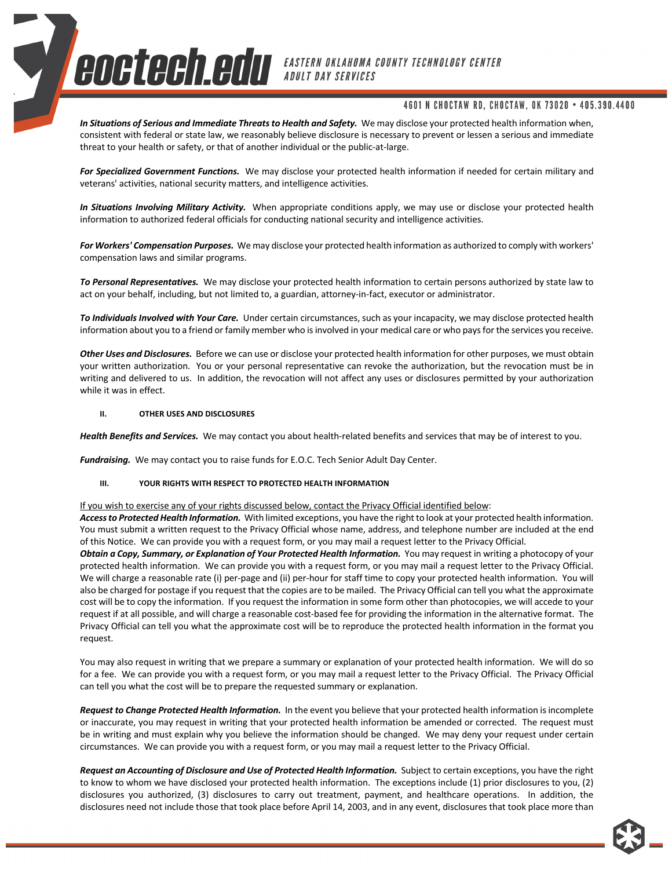**COCTOCH COL** EASTERN OKLAHOMA COUNTY TECHNOLOGY CENTER

# 4601 N CHOCTAW RD, CHOCTAW, OK 73020 . 405.390.4400

*In Situations of Serious and Immediate Threats to Health and Safety.* We may disclose your protected health information when, consistent with federal or state law, we reasonably believe disclosure is necessary to prevent or lessen a serious and immediate threat to your health or safety, or that of another individual or the public-at-large.

*For Specialized Government Functions.* We may disclose your protected health information if needed for certain military and veterans' activities, national security matters, and intelligence activities.

*In Situations Involving Military Activity.* When appropriate conditions apply, we may use or disclose your protected health information to authorized federal officials for conducting national security and intelligence activities.

*For Workers' Compensation Purposes.* We may disclose your protected health information as authorized to comply with workers' compensation laws and similar programs.

*To Personal Representatives.* We may disclose your protected health information to certain persons authorized by state law to act on your behalf, including, but not limited to, a guardian, attorney-in-fact, executor or administrator.

*To Individuals Involved with Your Care.* Under certain circumstances, such as your incapacity, we may disclose protected health information about you to a friend or family member who is involved in your medical care or who pays for the services you receive.

*Other Uses and Disclosures.* Before we can use or disclose your protected health information for other purposes, we must obtain your written authorization. You or your personal representative can revoke the authorization, but the revocation must be in writing and delivered to us. In addition, the revocation will not affect any uses or disclosures permitted by your authorization while it was in effect.

#### **II. OTHER USES AND DISCLOSURES**

*Health Benefits and Services.* We may contact you about health-related benefits and services that may be of interest to you.

*Fundraising.* We may contact you to raise funds for E.O.C. Tech Senior Adult Day Center.

### **III. YOUR RIGHTS WITH RESPECT TO PROTECTED HEALTH INFORMATION**

If you wish to exercise any of your rights discussed below, contact the Privacy Official identified below:

*Access to Protected Health Information.* With limited exceptions, you have the right to look at your protected health information. You must submit a written request to the Privacy Official whose name, address, and telephone number are included at the end of this Notice. We can provide you with a request form, or you may mail a request letter to the Privacy Official.

*Obtain a Copy, Summary, or Explanation of Your Protected Health Information.* You may request in writing a photocopy of your protected health information. We can provide you with a request form, or you may mail a request letter to the Privacy Official. We will charge a reasonable rate (i) per-page and (ii) per-hour for staff time to copy your protected health information. You will also be charged for postage if you request that the copies are to be mailed. The Privacy Official can tell you what the approximate cost will be to copy the information. If you request the information in some form other than photocopies, we will accede to your request if at all possible, and will charge a reasonable cost-based fee for providing the information in the alternative format. The Privacy Official can tell you what the approximate cost will be to reproduce the protected health information in the format you request.

You may also request in writing that we prepare a summary or explanation of your protected health information. We will do so for a fee. We can provide you with a request form, or you may mail a request letter to the Privacy Official. The Privacy Official can tell you what the cost will be to prepare the requested summary or explanation.

*Request to Change Protected Health Information.* In the event you believe that your protected health information is incomplete or inaccurate, you may request in writing that your protected health information be amended or corrected. The request must be in writing and must explain why you believe the information should be changed. We may deny your request under certain circumstances. We can provide you with a request form, or you may mail a request letter to the Privacy Official.

*Request an Accounting of Disclosure and Use of Protected Health Information.* Subject to certain exceptions, you have the right to know to whom we have disclosed your protected health information. The exceptions include (1) prior disclosures to you, (2) disclosures you authorized, (3) disclosures to carry out treatment, payment, and healthcare operations. In addition, the disclosures need not include those that took place before April 14, 2003, and in any event, disclosures that took place more than